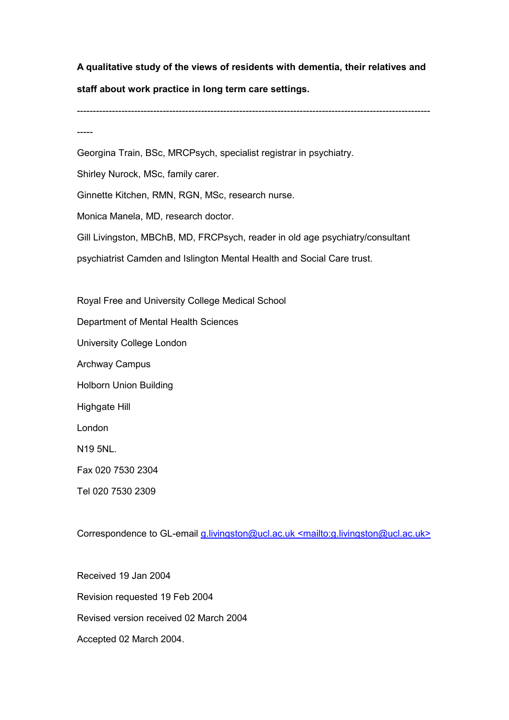A qualitative study of the views of residents with dementia, their relatives and staff about work practice in long term care settings.

---------------------------------------------------------------------------------------------------------------

-----

Georgina Train, BSc, MRCPsych, specialist registrar in psychiatry.

Shirley Nurock, MSc, family carer.

Ginnette Kitchen, RMN, RGN, MSc, research nurse.

Monica Manela, MD, research doctor.

Gill Livingston, MBChB, MD, FRCPsych, reader in old age psychiatry/consultant

psychiatrist Camden and Islington Mental Health and Social Care trust.

Royal Free and University College Medical School

Department of Mental Health Sciences

University College London

Archway Campus

Holborn Union Building

Highgate Hill

London

N19 5NL.

Fax 020 7530 2304

Tel 020 7530 2309

Correspondence to GL-email g.livingston@ucl.ac.uk <mailto:g.livingston@ucl.ac.uk>

Received 19 Jan 2004 Revision requested 19 Feb 2004 Revised version received 02 March 2004 Accepted 02 March 2004.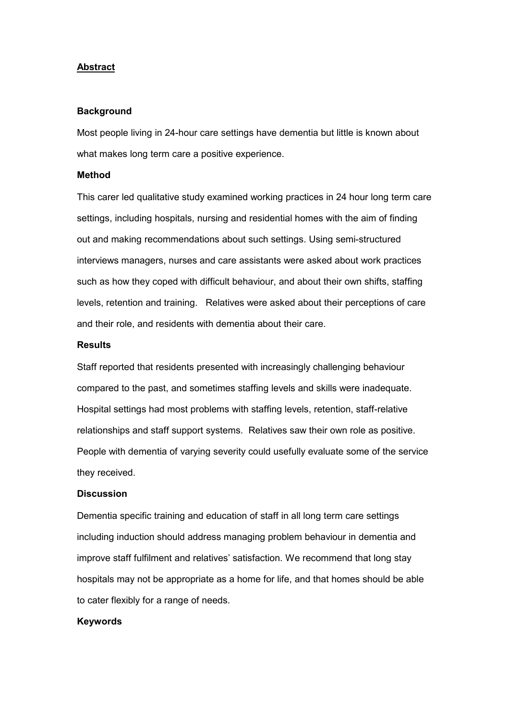## **Abstract**

## **Background**

Most people living in 24-hour care settings have dementia but little is known about what makes long term care a positive experience.

#### Method

This carer led qualitative study examined working practices in 24 hour long term care settings, including hospitals, nursing and residential homes with the aim of finding out and making recommendations about such settings. Using semi-structured interviews managers, nurses and care assistants were asked about work practices such as how they coped with difficult behaviour, and about their own shifts, staffing levels, retention and training. Relatives were asked about their perceptions of care and their role, and residents with dementia about their care.

#### Results

Staff reported that residents presented with increasingly challenging behaviour compared to the past, and sometimes staffing levels and skills were inadequate. Hospital settings had most problems with staffing levels, retention, staff-relative relationships and staff support systems. Relatives saw their own role as positive. People with dementia of varying severity could usefully evaluate some of the service they received.

## **Discussion**

Dementia specific training and education of staff in all long term care settings including induction should address managing problem behaviour in dementia and improve staff fulfilment and relatives' satisfaction. We recommend that long stay hospitals may not be appropriate as a home for life, and that homes should be able to cater flexibly for a range of needs.

## Keywords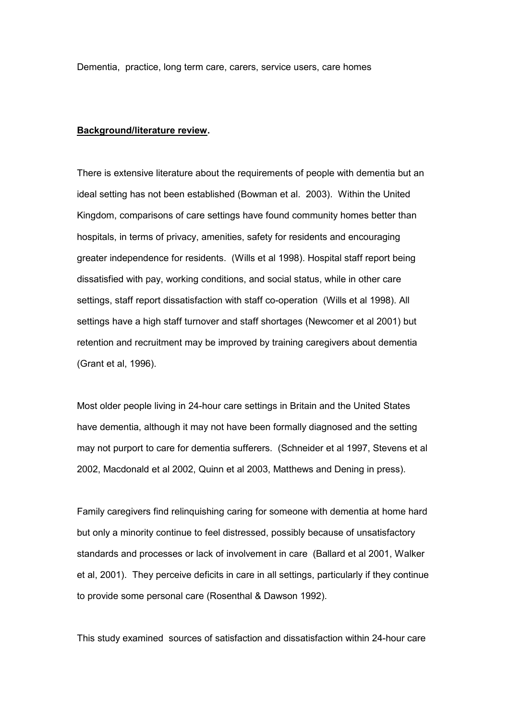Dementia, practice, long term care, carers, service users, care homes

## Background/literature review.

There is extensive literature about the requirements of people with dementia but an ideal setting has not been established (Bowman et al. 2003). Within the United Kingdom, comparisons of care settings have found community homes better than hospitals, in terms of privacy, amenities, safety for residents and encouraging greater independence for residents. (Wills et al 1998). Hospital staff report being dissatisfied with pay, working conditions, and social status, while in other care settings, staff report dissatisfaction with staff co-operation (Wills et al 1998). All settings have a high staff turnover and staff shortages (Newcomer et al 2001) but retention and recruitment may be improved by training caregivers about dementia (Grant et al, 1996).

Most older people living in 24-hour care settings in Britain and the United States have dementia, although it may not have been formally diagnosed and the setting may not purport to care for dementia sufferers. (Schneider et al 1997, Stevens et al 2002, Macdonald et al 2002, Quinn et al 2003, Matthews and Dening in press).

Family caregivers find relinquishing caring for someone with dementia at home hard but only a minority continue to feel distressed, possibly because of unsatisfactory standards and processes or lack of involvement in care (Ballard et al 2001, Walker et al, 2001). They perceive deficits in care in all settings, particularly if they continue to provide some personal care (Rosenthal & Dawson 1992).

This study examined sources of satisfaction and dissatisfaction within 24-hour care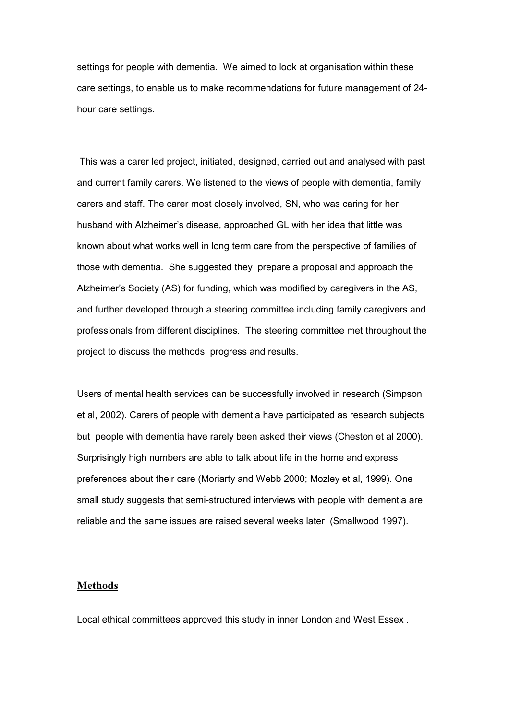settings for people with dementia. We aimed to look at organisation within these care settings, to enable us to make recommendations for future management of 24 hour care settings.

 This was a carer led project, initiated, designed, carried out and analysed with past and current family carers. We listened to the views of people with dementia, family carers and staff. The carer most closely involved, SN, who was caring for her husband with Alzheimer's disease, approached GL with her idea that little was known about what works well in long term care from the perspective of families of those with dementia. She suggested they prepare a proposal and approach the Alzheimer's Society (AS) for funding, which was modified by caregivers in the AS, and further developed through a steering committee including family caregivers and professionals from different disciplines. The steering committee met throughout the project to discuss the methods, progress and results.

Users of mental health services can be successfully involved in research (Simpson et al, 2002). Carers of people with dementia have participated as research subjects but people with dementia have rarely been asked their views (Cheston et al 2000). Surprisingly high numbers are able to talk about life in the home and express preferences about their care (Moriarty and Webb 2000; Mozley et al, 1999). One small study suggests that semi-structured interviews with people with dementia are reliable and the same issues are raised several weeks later (Smallwood 1997).

# Methods

Local ethical committees approved this study in inner London and West Essex .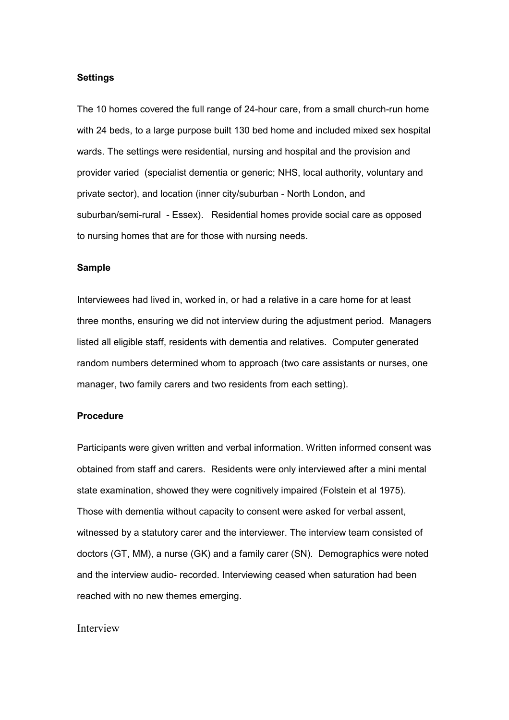#### Settings

The 10 homes covered the full range of 24-hour care, from a small church-run home with 24 beds, to a large purpose built 130 bed home and included mixed sex hospital wards. The settings were residential, nursing and hospital and the provision and provider varied (specialist dementia or generic; NHS, local authority, voluntary and private sector), and location (inner city/suburban - North London, and suburban/semi-rural - Essex). Residential homes provide social care as opposed to nursing homes that are for those with nursing needs.

## Sample

Interviewees had lived in, worked in, or had a relative in a care home for at least three months, ensuring we did not interview during the adjustment period. Managers listed all eligible staff, residents with dementia and relatives. Computer generated random numbers determined whom to approach (two care assistants or nurses, one manager, two family carers and two residents from each setting).

# Procedure

Participants were given written and verbal information. Written informed consent was obtained from staff and carers. Residents were only interviewed after a mini mental state examination, showed they were cognitively impaired (Folstein et al 1975). Those with dementia without capacity to consent were asked for verbal assent, witnessed by a statutory carer and the interviewer. The interview team consisted of doctors (GT, MM), a nurse (GK) and a family carer (SN). Demographics were noted and the interview audio- recorded. Interviewing ceased when saturation had been reached with no new themes emerging.

# Interview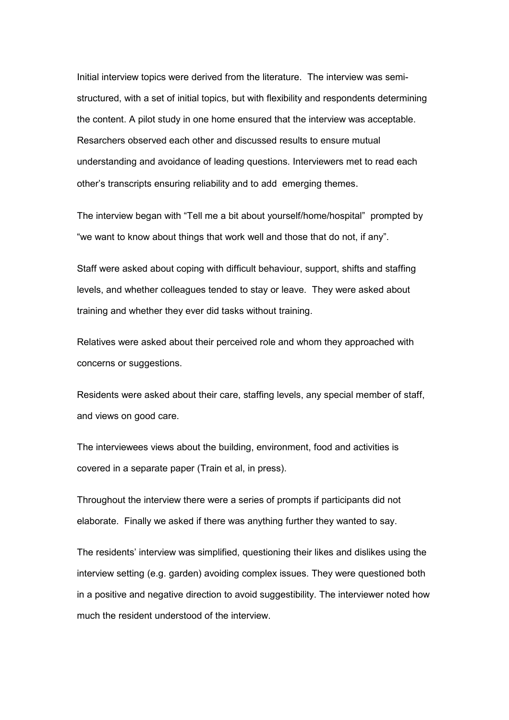Initial interview topics were derived from the literature. The interview was semistructured, with a set of initial topics, but with flexibility and respondents determining the content. A pilot study in one home ensured that the interview was acceptable. Resarchers observed each other and discussed results to ensure mutual understanding and avoidance of leading questions. Interviewers met to read each other's transcripts ensuring reliability and to add emerging themes.

The interview began with "Tell me a bit about yourself/home/hospital" prompted by "we want to know about things that work well and those that do not, if any".

Staff were asked about coping with difficult behaviour, support, shifts and staffing levels, and whether colleagues tended to stay or leave. They were asked about training and whether they ever did tasks without training.

Relatives were asked about their perceived role and whom they approached with concerns or suggestions.

Residents were asked about their care, staffing levels, any special member of staff, and views on good care.

The interviewees views about the building, environment, food and activities is covered in a separate paper (Train et al, in press).

Throughout the interview there were a series of prompts if participants did not elaborate. Finally we asked if there was anything further they wanted to say.

The residents' interview was simplified, questioning their likes and dislikes using the interview setting (e.g. garden) avoiding complex issues. They were questioned both in a positive and negative direction to avoid suggestibility. The interviewer noted how much the resident understood of the interview.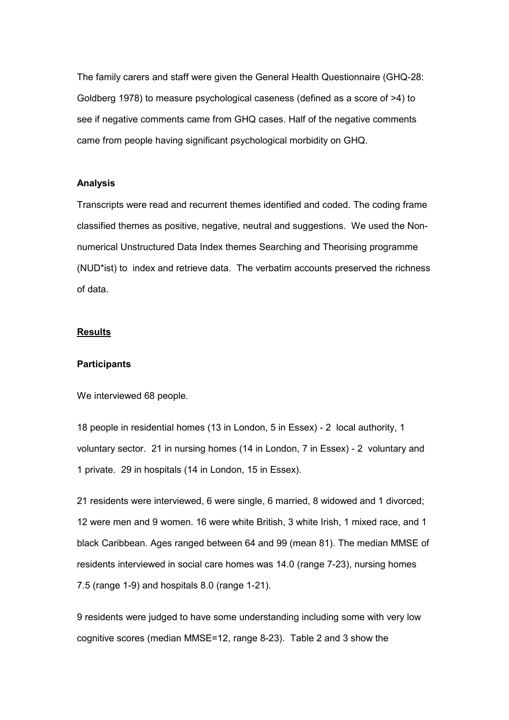The family carers and staff were given the General Health Questionnaire (GHQ-28: Goldberg 1978) to measure psychological caseness (defined as a score of >4) to see if negative comments came from GHQ cases. Half of the negative comments came from people having significant psychological morbidity on GHQ.

## Analysis

Transcripts were read and recurrent themes identified and coded. The coding frame classified themes as positive, negative, neutral and suggestions. We used the Nonnumerical Unstructured Data Index themes Searching and Theorising programme (NUD\*ist) to index and retrieve data. The verbatim accounts preserved the richness of data.

# **Results**

#### **Participants**

We interviewed 68 people.

18 people in residential homes (13 in London, 5 in Essex) - 2 local authority, 1 voluntary sector. 21 in nursing homes (14 in London, 7 in Essex) - 2 voluntary and 1 private. 29 in hospitals (14 in London, 15 in Essex).

21 residents were interviewed, 6 were single, 6 married, 8 widowed and 1 divorced; 12 were men and 9 women. 16 were white British, 3 white Irish, 1 mixed race, and 1 black Caribbean. Ages ranged between 64 and 99 (mean 81). The median MMSE of residents interviewed in social care homes was 14.0 (range 7-23), nursing homes 7.5 (range 1-9) and hospitals 8.0 (range 1-21).

9 residents were judged to have some understanding including some with very low cognitive scores (median MMSE=12, range 8-23). Table 2 and 3 show the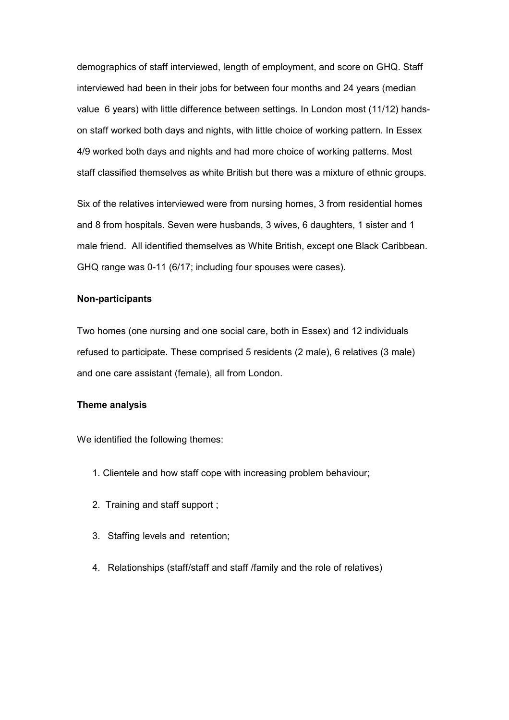demographics of staff interviewed, length of employment, and score on GHQ. Staff interviewed had been in their jobs for between four months and 24 years (median value 6 years) with little difference between settings. In London most (11/12) handson staff worked both days and nights, with little choice of working pattern. In Essex 4/9 worked both days and nights and had more choice of working patterns. Most staff classified themselves as white British but there was a mixture of ethnic groups.

Six of the relatives interviewed were from nursing homes, 3 from residential homes and 8 from hospitals. Seven were husbands, 3 wives, 6 daughters, 1 sister and 1 male friend. All identified themselves as White British, except one Black Caribbean. GHQ range was 0-11 (6/17; including four spouses were cases).

# Non-participants

Two homes (one nursing and one social care, both in Essex) and 12 individuals refused to participate. These comprised 5 residents (2 male), 6 relatives (3 male) and one care assistant (female), all from London.

#### Theme analysis

We identified the following themes:

- 1. Clientele and how staff cope with increasing problem behaviour;
- 2. Training and staff support ;
- 3. Staffing levels and retention;
- 4. Relationships (staff/staff and staff /family and the role of relatives)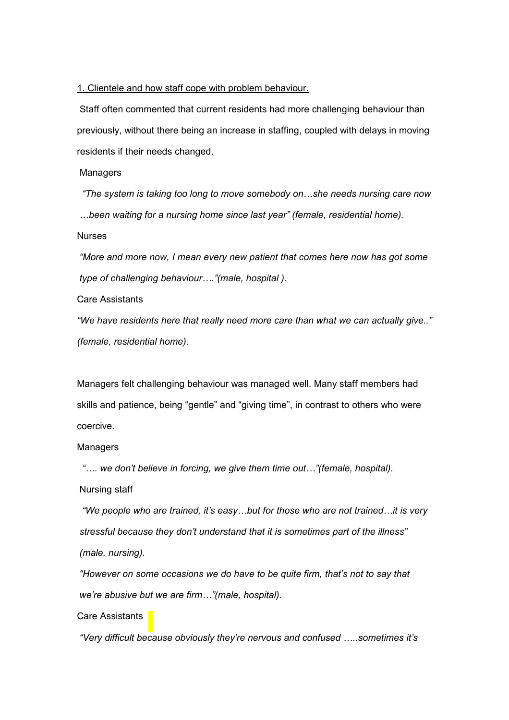### 1. Clientele and how staff cope with problem behaviour.

Staff often commented that current residents had more challenging behaviour than previously, without there being an increase in staffing, coupled with delays in moving residents if their needs changed.

Managers

 "The system is taking too long to move somebody on…she needs nursing care now …been waiting for a nursing home since last year" (female, residential home). Nurses

"More and more now, I mean every new patient that comes here now has got some type of challenging behaviour…."(male, hospital ).

Care Assistants

"We have residents here that really need more care than what we can actually give.." (female, residential home).

Managers felt challenging behaviour was managed well. Many staff members had skills and patience, being "gentle" and "giving time", in contrast to others who were coercive.

# **Managers**

"…. we don't believe in forcing, we give them time out…"(female, hospital).

Nursing staff

 "We people who are trained, it's easy…but for those who are not trained…it is very stressful because they don't understand that it is sometimes part of the illness" (male, nursing).

"However on some occasions we do have to be quite firm, that's not to say that we're abusive but we are firm…"(male, hospital).

# Care Assistants

"Very difficult because obviously they're nervous and confused …..sometimes it's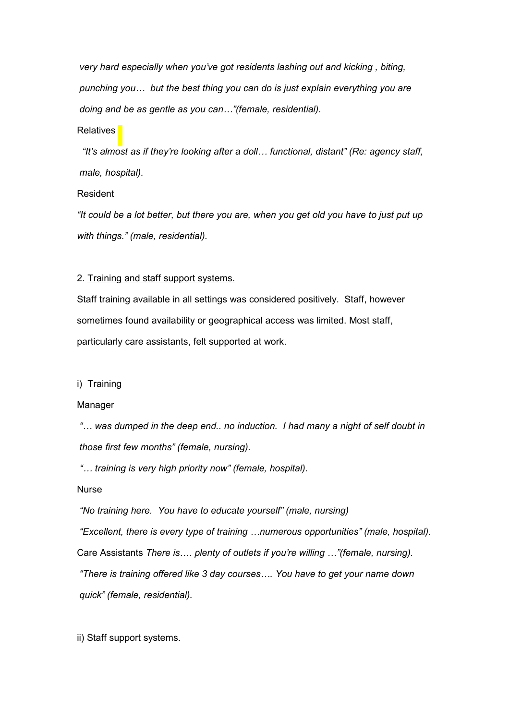very hard especially when you've got residents lashing out and kicking , biting, punching you… but the best thing you can do is just explain everything you are doing and be as gentle as you can…"(female, residential).

# **Relatives**

 "It's almost as if they're looking after a doll… functional, distant" (Re: agency staff, male, hospital).

# Resident

"It could be a lot better, but there you are, when you get old you have to just put up with things." (male, residential).

## 2. Training and staff support systems.

Staff training available in all settings was considered positively. Staff, however sometimes found availability or geographical access was limited. Most staff, particularly care assistants, felt supported at work.

#### i) Training

#### Manager

"… was dumped in the deep end.. no induction. I had many a night of self doubt in those first few months" (female, nursing).

"… training is very high priority now" (female, hospital).

#### Nurse

"No training here. You have to educate yourself" (male, nursing)

"Excellent, there is every type of training …numerous opportunities" (male, hospital). Care Assistants There is…. plenty of outlets if you're willing …"(female, nursing). "There is training offered like 3 day courses…. You have to get your name down

quick" (female, residential).

ii) Staff support systems.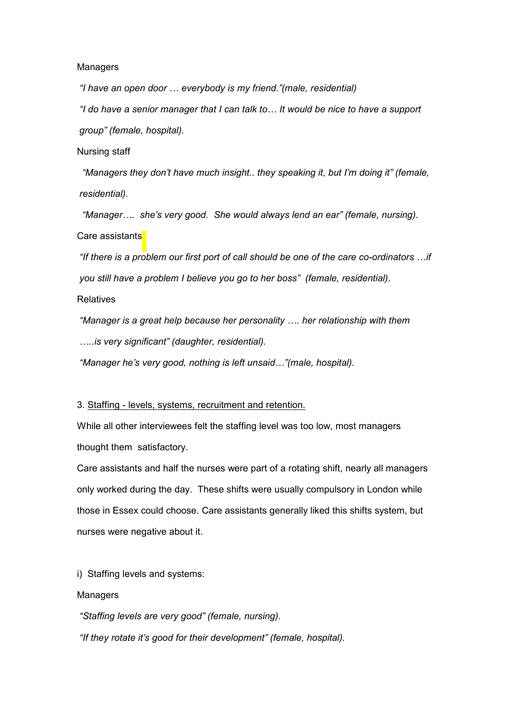#### **Managers**

"I have an open door … everybody is my friend."(male, residential)

"I do have a senior manager that I can talk to… It would be nice to have a support group" (female, hospital).

#### Nursing staff

"Managers they don't have much insight.. they speaking it, but I'm doing it" (female, residential).

 "Manager…. she's very good. She would always lend an ear" (female, nursing). Care assistants

"If there is a problem our first port of call should be one of the care co-ordinators …if you still have a problem I believe you go to her boss" (female, residential).

# **Relatives**

"Manager is a great help because her personality …. her relationship with them …..is very significant" (daughter, residential).

"Manager he's very good, nothing is left unsaid…"(male, hospital).

#### 3. Staffing - levels, systems, recruitment and retention.

While all other interviewees felt the staffing level was too low, most managers thought them satisfactory.

Care assistants and half the nurses were part of a rotating shift, nearly all managers only worked during the day. These shifts were usually compulsory in London while those in Essex could choose. Care assistants generally liked this shifts system, but nurses were negative about it.

i) Staffing levels and systems:

# Managers

"Staffing levels are very good" (female, nursing). "If they rotate it's good for their development" (female, hospital).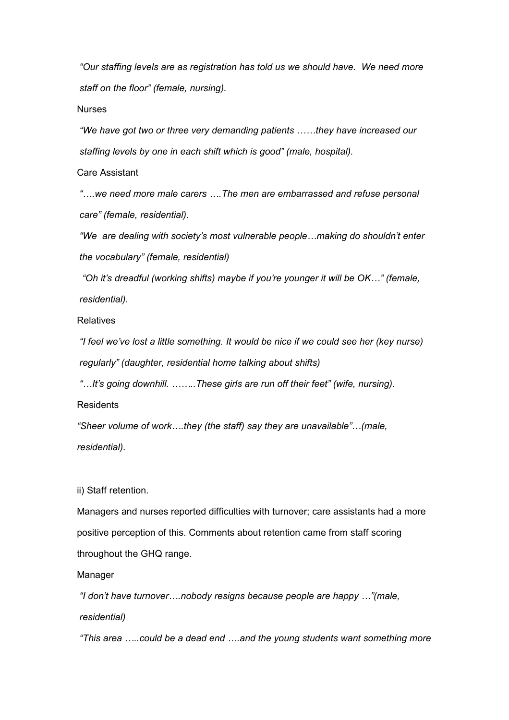"Our staffing levels are as registration has told us we should have. We need more staff on the floor" (female, nursing).

# Nurses

"We have got two or three very demanding patients ……they have increased our staffing levels by one in each shift which is good" (male, hospital).

Care Assistant

"….we need more male carers ….The men are embarrassed and refuse personal care" (female, residential).

"We are dealing with society's most vulnerable people…making do shouldn't enter the vocabulary" (female, residential)

 "Oh it's dreadful (working shifts) maybe if you're younger it will be OK…" (female, residential).

Relatives

"I feel we've lost a little something. It would be nice if we could see her (key nurse) regularly" (daughter, residential home talking about shifts)

"…It's going downhill. ……..These girls are run off their feet" (wife, nursing).

**Residents** 

"Sheer volume of work….they (the staff) say they are unavailable"…(male, residential).

ii) Staff retention.

Managers and nurses reported difficulties with turnover; care assistants had a more positive perception of this. Comments about retention came from staff scoring throughout the GHQ range.

# Manager

"I don't have turnover….nobody resigns because people are happy …"(male, residential)

"This area …..could be a dead end ….and the young students want something more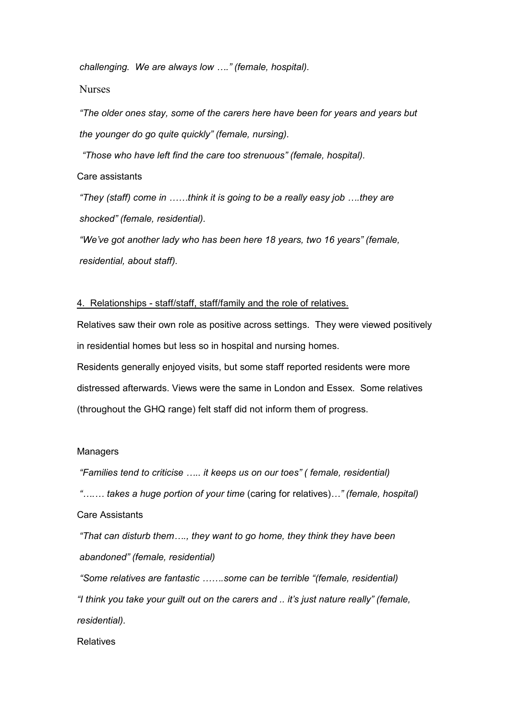challenging. We are always low …." (female, hospital).

Nurses

"The older ones stay, some of the carers here have been for years and years but the younger do go quite quickly" (female, nursing).

"Those who have left find the care too strenuous" (female, hospital).

Care assistants

"They (staff) come in ……think it is going to be a really easy job ….they are shocked" (female, residential).

"We've got another lady who has been here 18 years, two 16 years" (female, residential, about staff).

## 4. Relationships - staff/staff, staff/family and the role of relatives.

Relatives saw their own role as positive across settings. They were viewed positively in residential homes but less so in hospital and nursing homes. Residents generally enjoyed visits, but some staff reported residents were more distressed afterwards. Views were the same in London and Essex. Some relatives (throughout the GHQ range) felt staff did not inform them of progress.

#### **Managers**

"Families tend to criticise ….. it keeps us on our toes" ( female, residential)

"….… takes a huge portion of your time (caring for relatives)…" (female, hospital) Care Assistants

"That can disturb them…., they want to go home, they think they have been abandoned" (female, residential)

 "Some relatives are fantastic …….some can be terrible "(female, residential) "I think you take your guilt out on the carers and .. it's just nature really" (female, residential).

**Relatives**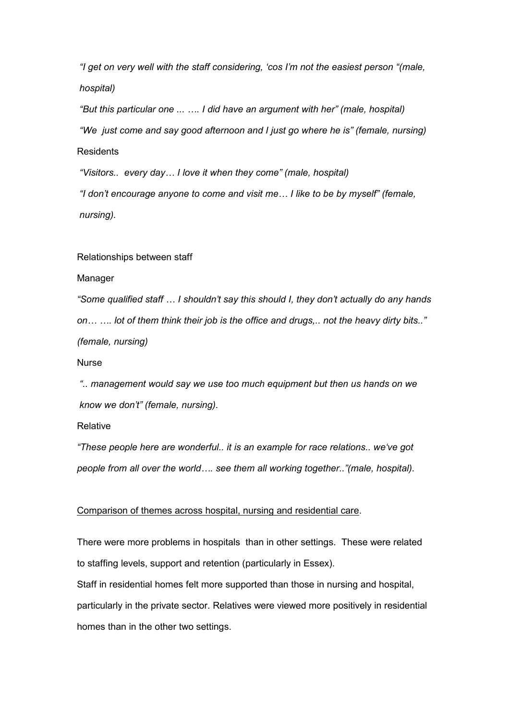"I get on very well with the staff considering, 'cos I'm not the easiest person "(male, hospital)

"But this particular one ... …. I did have an argument with her" (male, hospital) "We just come and say good afternoon and I just go where he is" (female, nursing) **Residents** 

"Visitors.. every day… I love it when they come" (male, hospital)

"I don't encourage anyone to come and visit me… I like to be by myself" (female, nursing).

## Relationships between staff

#### Manager

"Some qualified staff … I shouldn't say this should I, they don't actually do any hands on… …. lot of them think their job is the office and drugs,.. not the heavy dirty bits.." (female, nursing)

**Nurse** 

".. management would say we use too much equipment but then us hands on we know we don't" (female, nursing).

# Relative

"These people here are wonderful.. it is an example for race relations.. we've got people from all over the world…. see them all working together.."(male, hospital).

# Comparison of themes across hospital, nursing and residential care.

There were more problems in hospitals than in other settings. These were related to staffing levels, support and retention (particularly in Essex).

Staff in residential homes felt more supported than those in nursing and hospital, particularly in the private sector. Relatives were viewed more positively in residential homes than in the other two settings.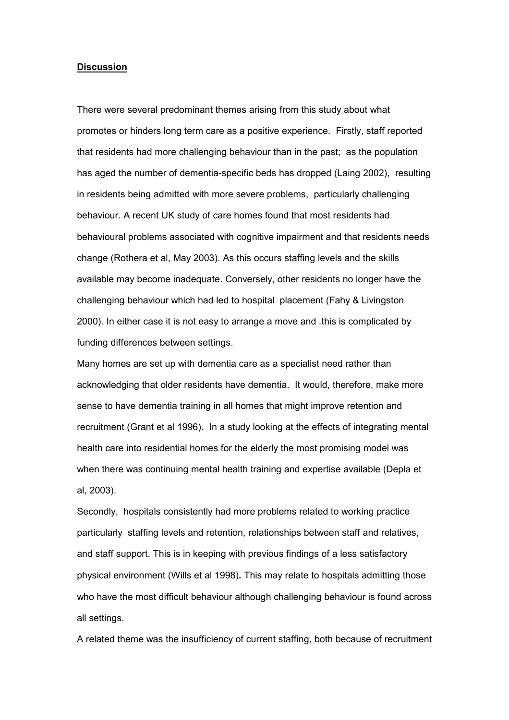#### **Discussion**

There were several predominant themes arising from this study about what promotes or hinders long term care as a positive experience. Firstly, staff reported that residents had more challenging behaviour than in the past; as the population has aged the number of dementia-specific beds has dropped (Laing 2002), resulting in residents being admitted with more severe problems, particularly challenging behaviour. A recent UK study of care homes found that most residents had behavioural problems associated with cognitive impairment and that residents needs change (Rothera et al, May 2003). As this occurs staffing levels and the skills available may become inadequate. Conversely, other residents no longer have the challenging behaviour which had led to hospital placement (Fahy & Livingston 2000). In either case it is not easy to arrange a move and .this is complicated by funding differences between settings.

Many homes are set up with dementia care as a specialist need rather than acknowledging that older residents have dementia. It would, therefore, make more sense to have dementia training in all homes that might improve retention and recruitment (Grant et al 1996). In a study looking at the effects of integrating mental health care into residential homes for the elderly the most promising model was when there was continuing mental health training and expertise available (Depla et al, 2003).

Secondly, hospitals consistently had more problems related to working practice particularly staffing levels and retention, relationships between staff and relatives, and staff support. This is in keeping with previous findings of a less satisfactory physical environment (Wills et al 1998). This may relate to hospitals admitting those who have the most difficult behaviour although challenging behaviour is found across all settings.

A related theme was the insufficiency of current staffing, both because of recruitment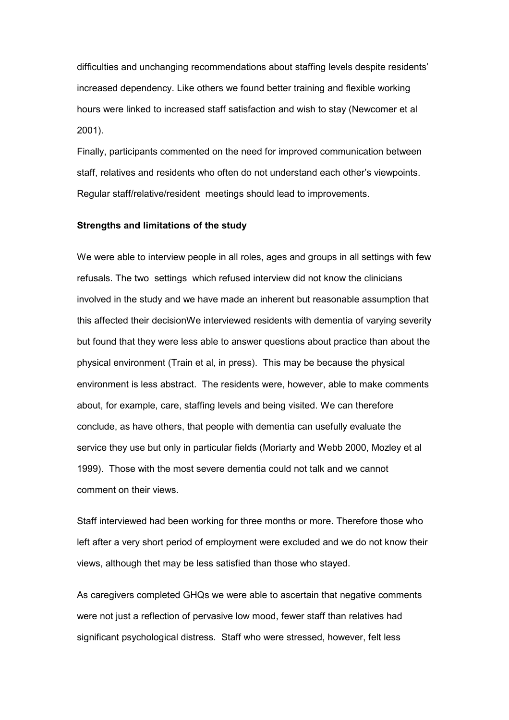difficulties and unchanging recommendations about staffing levels despite residents' increased dependency. Like others we found better training and flexible working hours were linked to increased staff satisfaction and wish to stay (Newcomer et al 2001).

Finally, participants commented on the need for improved communication between staff, relatives and residents who often do not understand each other's viewpoints. Regular staff/relative/resident meetings should lead to improvements.

#### Strengths and limitations of the study

We were able to interview people in all roles, ages and groups in all settings with few refusals. The two settings which refused interview did not know the clinicians involved in the study and we have made an inherent but reasonable assumption that this affected their decisionWe interviewed residents with dementia of varying severity but found that they were less able to answer questions about practice than about the physical environment (Train et al, in press). This may be because the physical environment is less abstract. The residents were, however, able to make comments about, for example, care, staffing levels and being visited. We can therefore conclude, as have others, that people with dementia can usefully evaluate the service they use but only in particular fields (Moriarty and Webb 2000, Mozley et al 1999). Those with the most severe dementia could not talk and we cannot comment on their views.

Staff interviewed had been working for three months or more. Therefore those who left after a very short period of employment were excluded and we do not know their views, although thet may be less satisfied than those who stayed.

As caregivers completed GHQs we were able to ascertain that negative comments were not just a reflection of pervasive low mood, fewer staff than relatives had significant psychological distress. Staff who were stressed, however, felt less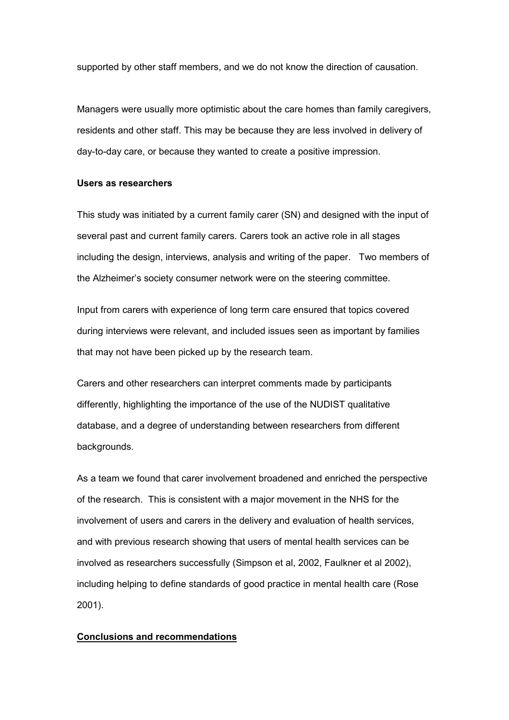supported by other staff members, and we do not know the direction of causation.

Managers were usually more optimistic about the care homes than family caregivers, residents and other staff. This may be because they are less involved in delivery of day-to-day care, or because they wanted to create a positive impression.

# Users as researchers

This study was initiated by a current family carer (SN) and designed with the input of several past and current family carers. Carers took an active role in all stages including the design, interviews, analysis and writing of the paper. Two members of the Alzheimer's society consumer network were on the steering committee.

Input from carers with experience of long term care ensured that topics covered during interviews were relevant, and included issues seen as important by families that may not have been picked up by the research team.

Carers and other researchers can interpret comments made by participants differently, highlighting the importance of the use of the NUDIST qualitative database, and a degree of understanding between researchers from different backgrounds.

As a team we found that carer involvement broadened and enriched the perspective of the research. This is consistent with a major movement in the NHS for the involvement of users and carers in the delivery and evaluation of health services, and with previous research showing that users of mental health services can be involved as researchers successfully (Simpson et al, 2002, Faulkner et al 2002), including helping to define standards of good practice in mental health care (Rose 2001).

## Conclusions and recommendations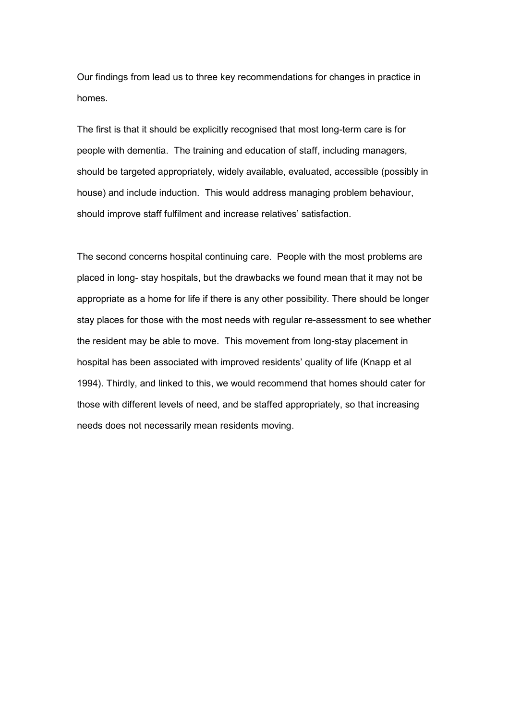Our findings from lead us to three key recommendations for changes in practice in homes.

The first is that it should be explicitly recognised that most long-term care is for people with dementia. The training and education of staff, including managers, should be targeted appropriately, widely available, evaluated, accessible (possibly in house) and include induction. This would address managing problem behaviour, should improve staff fulfilment and increase relatives' satisfaction.

The second concerns hospital continuing care. People with the most problems are placed in long- stay hospitals, but the drawbacks we found mean that it may not be appropriate as a home for life if there is any other possibility. There should be longer stay places for those with the most needs with regular re-assessment to see whether the resident may be able to move. This movement from long-stay placement in hospital has been associated with improved residents' quality of life (Knapp et al 1994). Thirdly, and linked to this, we would recommend that homes should cater for those with different levels of need, and be staffed appropriately, so that increasing needs does not necessarily mean residents moving.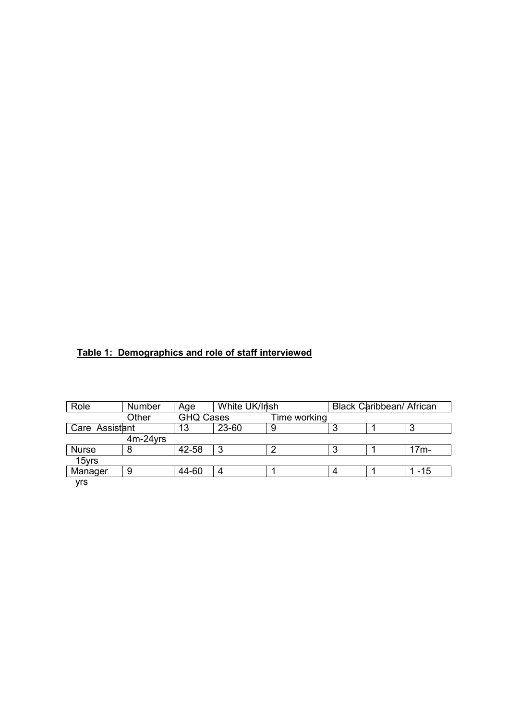# Table 1: Demographics and role of staff interviewed

| Role           | Number      | Age              | White UK/Irish |              |   | Black Caribbean/ African |          |
|----------------|-------------|------------------|----------------|--------------|---|--------------------------|----------|
|                | Other       | <b>GHQ Cases</b> |                | Time working |   |                          |          |
| Care Assistant |             | 13               | 23-60          | 9            | 3 |                          | ິ<br>J   |
|                | $4m-24$ yrs |                  |                |              |   |                          |          |
| <b>Nurse</b>   | 8           | 42-58            | 3              | ာ            | 3 |                          | $17m-$   |
| 15yrs          |             |                  |                |              |   |                          |          |
| Manager        | 9           | 44-60            | 4              |              | 4 |                          | $1 - 15$ |
| yrs            |             |                  |                |              |   |                          |          |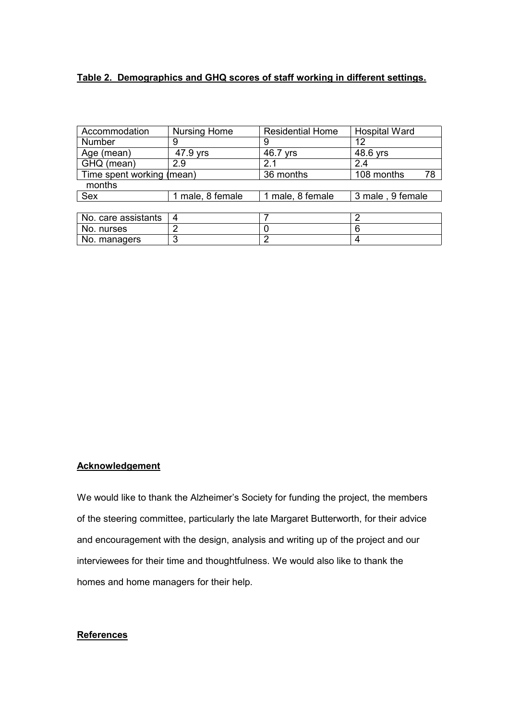# Table 2. Demographics and GHQ scores of staff working in different settings.

| Accommodation             | <b>Nursing Home</b> | <b>Residential Home</b> | <b>Hospital Ward</b> |  |  |  |  |  |
|---------------------------|---------------------|-------------------------|----------------------|--|--|--|--|--|
| Number                    | 9                   | 9                       | 12                   |  |  |  |  |  |
| Age (mean)                | 47.9 yrs            | 46.7 yrs                | 48.6 yrs             |  |  |  |  |  |
| GHQ (mean)                | 2.9                 | 2.1                     | 2.4                  |  |  |  |  |  |
| Time spent working (mean) |                     | 36 months               | 78<br>108 months     |  |  |  |  |  |
| months                    |                     |                         |                      |  |  |  |  |  |
| <b>Sex</b>                | 1 male, 8 female    | 1 male, 8 female        | 3 male, 9 female     |  |  |  |  |  |
|                           |                     |                         |                      |  |  |  |  |  |
| No. care assistants       | 4                   |                         | 2                    |  |  |  |  |  |
| No. nurses                | 2                   |                         | 6                    |  |  |  |  |  |
| No. managers              | 3                   | 2                       | 4                    |  |  |  |  |  |

# **Acknowledgement**

We would like to thank the Alzheimer's Society for funding the project, the members of the steering committee, particularly the late Margaret Butterworth, for their advice and encouragement with the design, analysis and writing up of the project and our interviewees for their time and thoughtfulness. We would also like to thank the homes and home managers for their help.

# **References**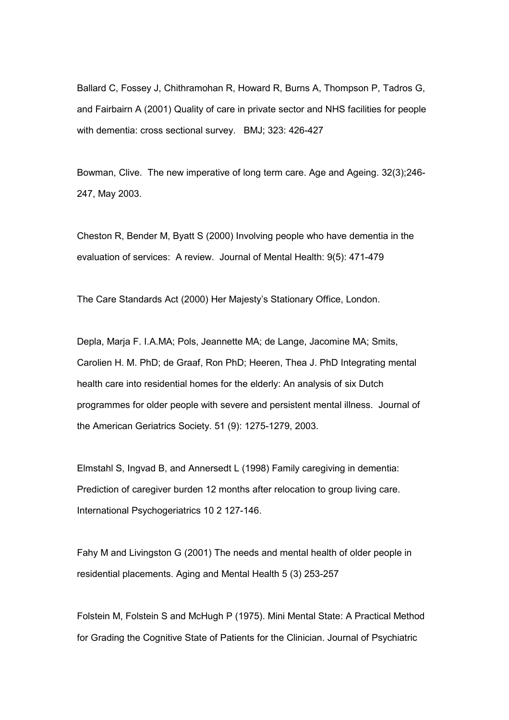Ballard C, Fossey J, Chithramohan R, Howard R, Burns A, Thompson P, Tadros G, and Fairbairn A (2001) Quality of care in private sector and NHS facilities for people with dementia: cross sectional survey. BMJ; 323: 426-427

Bowman, Clive. The new imperative of long term care. Age and Ageing. 32(3);246- 247, May 2003.

Cheston R, Bender M, Byatt S (2000) Involving people who have dementia in the evaluation of services: A review. Journal of Mental Health: 9(5): 471-479

The Care Standards Act (2000) Her Majesty's Stationary Office, London.

Depla, Marja F. I.A.MA; Pols, Jeannette MA; de Lange, Jacomine MA; Smits, Carolien H. M. PhD; de Graaf, Ron PhD; Heeren, Thea J. PhD Integrating mental health care into residential homes for the elderly: An analysis of six Dutch programmes for older people with severe and persistent mental illness. Journal of the American Geriatrics Society. 51 (9): 1275-1279, 2003.

Elmstahl S, Ingvad B, and Annersedt L (1998) Family caregiving in dementia: Prediction of caregiver burden 12 months after relocation to group living care. International Psychogeriatrics 10 2 127-146.

Fahy M and Livingston G (2001) The needs and mental health of older people in residential placements. Aging and Mental Health 5 (3) 253-257

Folstein M, Folstein S and McHugh P (1975). Mini Mental State: A Practical Method for Grading the Cognitive State of Patients for the Clinician. Journal of Psychiatric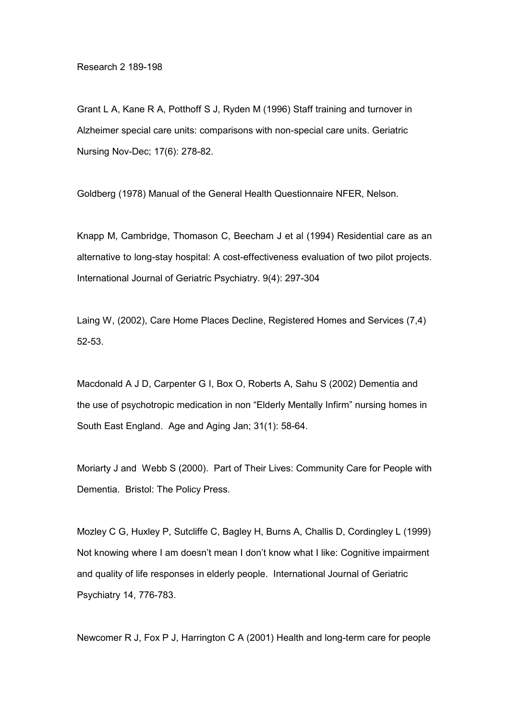Research 2 189-198

Grant L A, Kane R A, Potthoff S J, Ryden M (1996) Staff training and turnover in Alzheimer special care units: comparisons with non-special care units. Geriatric Nursing Nov-Dec; 17(6): 278-82.

Goldberg (1978) Manual of the General Health Questionnaire NFER, Nelson.

Knapp M, Cambridge, Thomason C, Beecham J et al (1994) Residential care as an alternative to long-stay hospital: A cost-effectiveness evaluation of two pilot projects. International Journal of Geriatric Psychiatry. 9(4): 297-304

Laing W, (2002), Care Home Places Decline, Registered Homes and Services (7,4) 52-53.

Macdonald A J D, Carpenter G I, Box O, Roberts A, Sahu S (2002) Dementia and the use of psychotropic medication in non "Elderly Mentally Infirm" nursing homes in South East England. Age and Aging Jan; 31(1): 58-64.

Moriarty J and Webb S (2000). Part of Their Lives: Community Care for People with Dementia. Bristol: The Policy Press.

Mozley C G, Huxley P, Sutcliffe C, Bagley H, Burns A, Challis D, Cordingley L (1999) Not knowing where I am doesn't mean I don't know what I like: Cognitive impairment and quality of life responses in elderly people. International Journal of Geriatric Psychiatry 14, 776-783.

Newcomer R J, Fox P J, Harrington C A (2001) Health and long-term care for people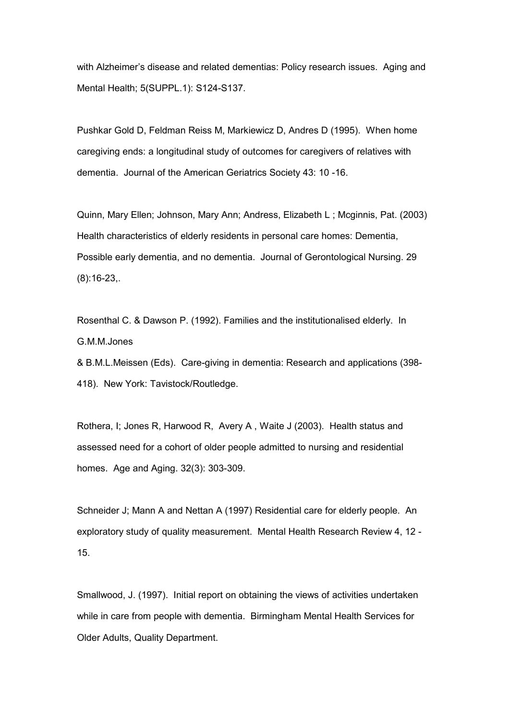with Alzheimer's disease and related dementias: Policy research issues. Aging and Mental Health; 5(SUPPL.1): S124-S137.

Pushkar Gold D, Feldman Reiss M, Markiewicz D, Andres D (1995). When home caregiving ends: a longitudinal study of outcomes for caregivers of relatives with dementia. Journal of the American Geriatrics Society 43: 10 -16.

Quinn, Mary Ellen; Johnson, Mary Ann; Andress, Elizabeth L ; Mcginnis, Pat. (2003) Health characteristics of elderly residents in personal care homes: Dementia, Possible early dementia, and no dementia. Journal of Gerontological Nursing. 29 (8):16-23,.

Rosenthal C. & Dawson P. (1992). Families and the institutionalised elderly. In G.M.M.Jones

& B.M.L.Meissen (Eds). Care-giving in dementia: Research and applications (398- 418). New York: Tavistock/Routledge.

Rothera, I; Jones R, Harwood R, Avery A , Waite J (2003). Health status and assessed need for a cohort of older people admitted to nursing and residential homes. Age and Aging. 32(3): 303-309.

Schneider J; Mann A and Nettan A (1997) Residential care for elderly people. An exploratory study of quality measurement. Mental Health Research Review 4, 12 - 15.

Smallwood, J. (1997). Initial report on obtaining the views of activities undertaken while in care from people with dementia. Birmingham Mental Health Services for Older Adults, Quality Department.